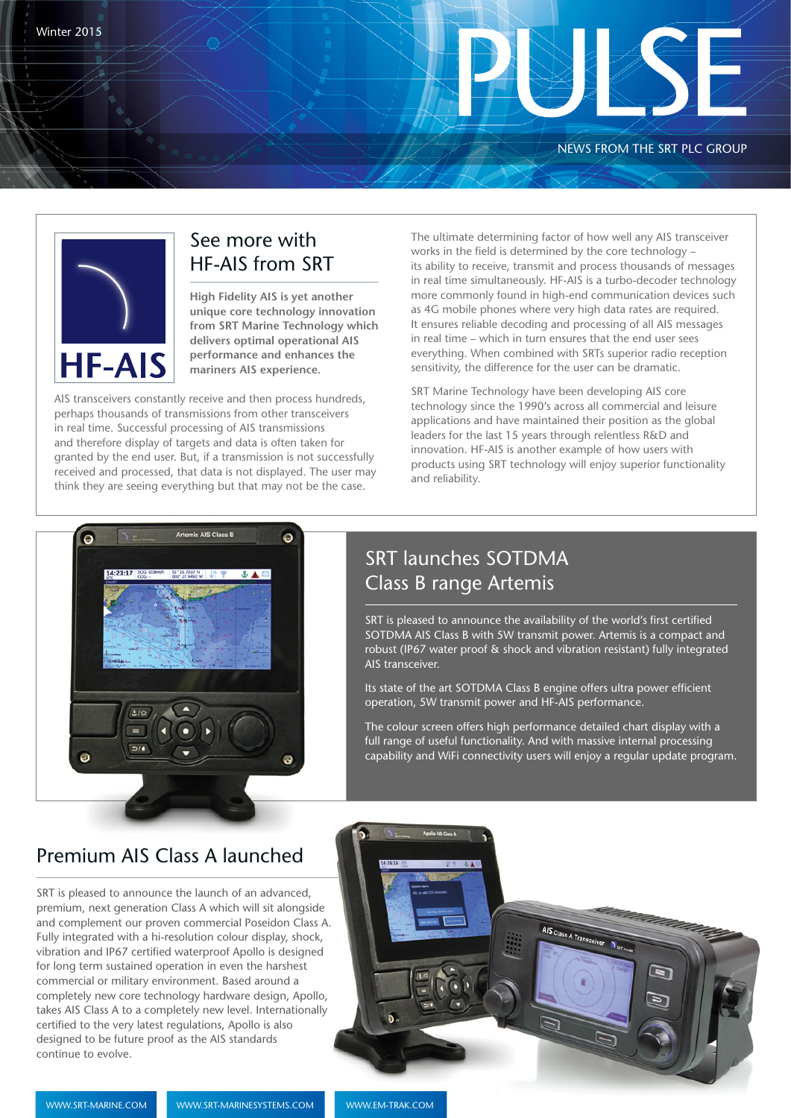#### NEWS FROM THE SRT PLC GROUP



#### See more with HF-AIS from SRT

**High Fidelity AIS is yet another unique core technology innovation from SRT Marine Technology which delivers optimal operational AIS performance and enhances the mariners AIS experience.**

AIS transceivers constantly receive and then process hundreds, perhaps thousands of transmissions from other transceivers in real time. Successful processing of AIS transmissions and therefore display of targets and data is often taken for granted by the end user. But, if a transmission is not successfully received and processed, that data is not displayed. The user may think they are seeing everything but that may not be the case.

The ultimate determining factor of how well any AIS transceiver works in the field is determined by the core technology – its ability to receive, transmit and process thousands of messages in real time simultaneously. HF-AIS is a turbo-decoder technology more commonly found in high-end communication devices such as 4G mobile phones where very high data rates are required. It ensures reliable decoding and processing of all AIS messages in real time – which in turn ensures that the end user sees everything. When combined with SRTs superior radio reception sensitivity, the difference for the user can be dramatic.

SRT Marine Technology have been developing AIS core technology since the 1990's across all commercial and leisure applications and have maintained their position as the global leaders for the last 15 years through relentless R&D and innovation. HF-AIS is another example of how users with products using SRT technology will enjoy superior functionality and reliability.



## SRT launches SOTDMA Class B range Artemis

SRT is pleased to announce the availability of the world's first certified SOTDMA AIS Class B with 5W transmit power. Artemis is a compact and robust (IP67 water proof & shock and vibration resistant) fully integrated AIS transceiver.

Its state of the art SOTDMA Class B engine offers ultra power efficient operation, 5W transmit power and HF-AIS performance.

The colour screen offers high performance detailed chart display with a full range of useful functionality. And with massive internal processing capability and WiFi connectivity users will enjoy a regular update program.

#### Premium AIS Class A launched

SRT is pleased to announce the launch of an advanced, premium, next generation Class A which will sit alongside and complement our proven commercial Poseidon Class A. Fully integrated with a hi-resolution colour display, shock, vibration and IP67 certified waterproof Apollo is designed for long term sustained operation in even the harshest commercial or military environment. Based around a completely new core technology hardware design, Apollo, takes AIS Class A to a completely new level. Internationally certified to the very latest regulations, Apollo is also designed to be future proof as the AIS standards continue to evolve.